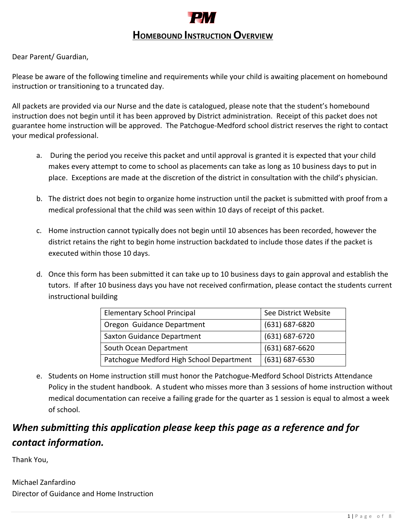# **HOMEBOUND INSTRUCTION OVERVIEW**

Dear Parent/ Guardian,

Please be aware of the following timeline and requirements while your child is awaiting placement on homebound instruction or transitioning to a truncated day.

All packets are provided via our Nurse and the date is catalogued, please note that the student's homebound instruction does not begin until it has been approved by District administration. Receipt of this packet does not guarantee home instruction will be approved. The Patchogue‐Medford school district reserves the right to contact your medical professional.

- a. During the period you receive this packet and until approval is granted it is expected that your child makes every attempt to come to school as placements can take as long as 10 business days to put in place. Exceptions are made at the discretion of the district in consultation with the child's physician.
- b. The district does not begin to organize home instruction until the packet is submitted with proof from a medical professional that the child was seen within 10 days of receipt of this packet.
- c. Home instruction cannot typically does not begin until 10 absences has been recorded, however the district retains the right to begin home instruction backdated to include those dates if the packet is executed within those 10 days.
- d. Once this form has been submitted it can take up to 10 business days to gain approval and establish the tutors. If after 10 business days you have not received confirmation, please contact the students current instructional building

| <b>Elementary School Principal</b>       | See District Website |
|------------------------------------------|----------------------|
| Oregon Guidance Department               | $(631) 687 - 6820$   |
| Saxton Guidance Department               | $(631) 687 - 6720$   |
| South Ocean Department                   | $(631) 687 - 6620$   |
| Patchogue Medford High School Department | $(631) 687 - 6530$   |

e. Students on Home instruction still must honor the Patchogue-Medford School Districts Attendance Policy in the student handbook. A student who misses more than 3 sessions of home instruction without medical documentation can receive a failing grade for the quarter as 1 session is equal to almost a week of school.

# *When submitting this application please keep this page as a reference and for contact information.*

Thank You,

Michael Zanfardino Director of Guidance and Home Instruction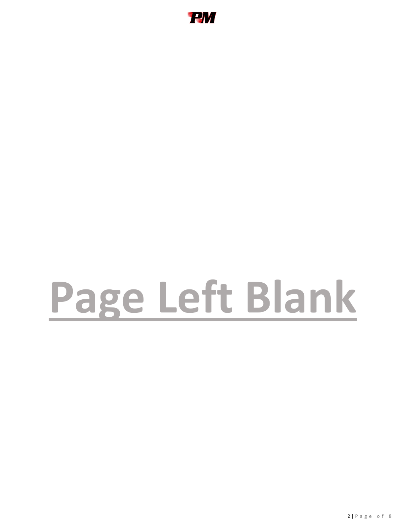<span id="page-1-0"></span>

# **Page Left Blank**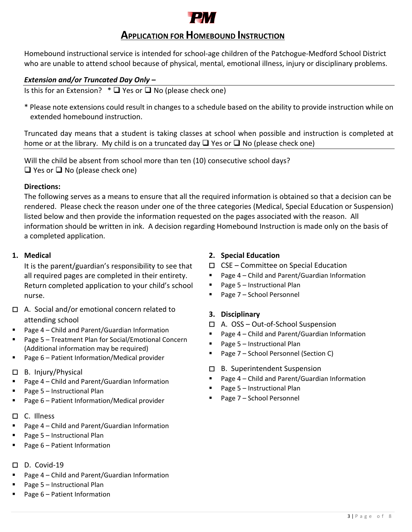

## **APPLICATION FOR HOMEBOUND INSTRUCTION**

Homebound instructional service is intended for school‐age children of the Patchogue‐Medford School District who are unable to attend school because of physical, mental, emotional illness, injury or disciplinary problems.

## *Extension and/or Truncated Day Only –*

- Is this for an Extension?  $\ast \Box$  Yes or  $\Box$  No (please check one)
- \* Please note extensions could result in changes to a schedule based on the ability to provide instruction while on extended homebound instruction.

home or at the library. My child is on a truncated day  $\square$  Yes or  $\square$  No (please check one) Truncated day means that a student is taking classes at school when possible and instruction is completed at

 $\Box$  Yes or  $\Box$  No (please check one) Will the child be absent from school more than ten (10) consecutive school days?

## **Directions:**

The following serves as a means to ensure that all the required information is obtained so that a decision can be rendered. Please check the reason under one of the three categories (Medical, Special Education or Suspension) listed below and then provide the information requested on the pages associated with the reason. All information should be written in ink. A decision regarding Homebound Instruction is made only on the basis of a completed application.

It is the parent/guardian's responsibility to see that  $\Box$  CSE – Committee on Special Education all required pages are completed in their entirety. **If the same 4** – Child and Parent/Guardian Information Return completed application to your child's school Page 5 – Instructional Plan nurse. **and the set of the set of the set of the set of the set of the Page 7 – School Personnel** 

- 
- 
- <table>\n<tbody>\n<tr>\n<td>□</td>\n<td>A. Social and/or emotional concern related to<br/>attending school</td>\n<td>□</td>\n<td>A. OSS Out-of-School suspension<br/>Page 4 Child and Parent/Guardian Information<br/>Page 5 Treatment Plan for Social/Emotional Concern<br/>(Additional information may be required)</td>\n<td>□</td>\n<td>□</td>\n<td>A. OSS Out-of-School Suspension<br/>Page 5 Intructional Plan<br/>Page 5 Instrument Phan for Social/Emotional Concern<br/>Page 6 Patient Information/Medical provider</td>\n<td>□</td>\n<td>□</td>\n<td>□</td>\n<td>□</td>\n<td>□</td>\n<td>□</td>\n<td>□</td>\n<td>□</td>\n<td
- 

- 
- 
- 
- □ C. Illness
- Page 4 Child and Parent/Guardian Information
- Page 5 Instructional Plan
- Page 6 Patient Information

## □ D. Covid-19

- Page 4 Child and Parent/Guardian Information
- Page 5 Instructional Plan
- Page 6 Patient Information

## **1. Medical 2. Special Education**

- 
- 
- 
- 
- 
- 
- 
- 
- 

- □ B. Injury/Physical<br>
Page 4 Child and Parent/Guardian Information<br>
Page 4 Child and Parent/Guardian Information<br>
Page 5 Instructional Plan<br>
Page 6 Patient Information/Medical provider<br>
Page 7 School P
	-
	-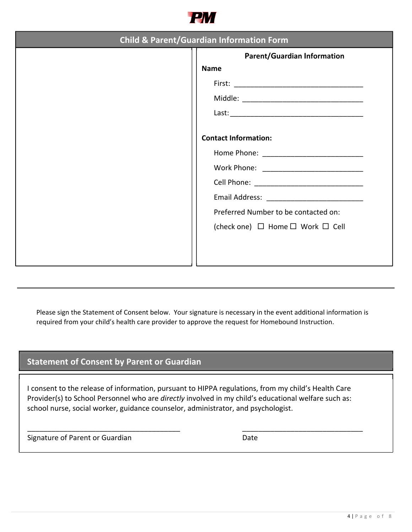

| <b>Child &amp; Parent/Guardian Information Form</b> |                                                                                                                        |
|-----------------------------------------------------|------------------------------------------------------------------------------------------------------------------------|
|                                                     | <b>Parent/Guardian Information</b><br><b>Name</b>                                                                      |
|                                                     | <b>Contact Information:</b><br>Preferred Number to be contacted on:<br>(check one) $\Box$ Home $\Box$ Work $\Box$ Cell |

Please sign the Statement of Consent below. Your signature is necessary in the event additional information is required from your child's health care provider to approve the request for Homebound Instruction.

## **Statement of Consent by Parent or Guardian**

I consent to the release of information, pursuant to HIPPA regulations, from my child's Health Care Provider(s) to School Personnel who are *directly* involved in my child's educational welfare such as: school nurse, social worker, guidance counselor, administrator, and psychologist.

\_\_\_\_\_\_\_\_\_\_\_\_\_\_\_\_\_\_\_\_\_\_\_\_\_\_\_\_\_\_\_\_\_\_\_\_\_\_ \_\_\_\_\_\_\_\_\_\_\_\_\_\_\_\_\_\_\_\_\_\_\_\_\_\_\_\_\_\_

Signature of Parent or Guardian Date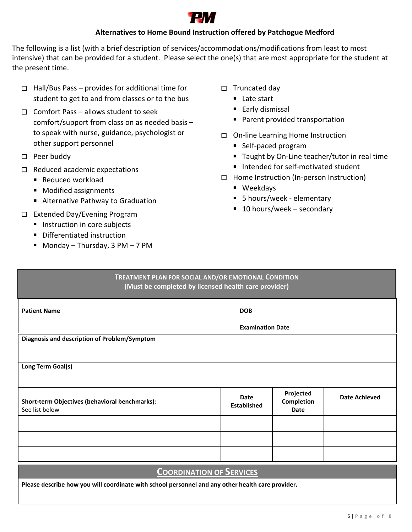

### **Alternatives to Home Bound Instruction offered by Patchogue Medford**

The following is a list (with a brief description of services/accommodations/modifications from least to most intensive) that can be provided for a student. Please select the one(s) that are most appropriate for the student at the present time.

- $\Box$  Hall/Bus Pass provides for additional time for student to get to and from classes or to the bus
- $\Box$  Comfort Pass allows student to seek comfort/support from class on as needed basis – to speak with nurse, guidance, psychologist or other support personnel
- $\Box$  Peer buddy
- $\Box$  Reduced academic expectations
	- Reduced workload
	- Modified assignments
	- Alternative Pathway to Graduation
- □ Extended Day/Evening Program
	- **Instruction in core subjects**
	- **Differentiated instruction**
	- $Monday Thursday, 3 PM 7 PM$
- $\Box$  Truncated day
	- Late start
	- Early dismissal
	- **Parent provided transportation**
- □ On-line Learning Home Instruction
	- Self-paced program
	- Taught by On-Line teacher/tutor in real time
	- Intended for self-motivated student
- □ Home Instruction (In-person Instruction)
	- **Weekdays**
	- 5 hours/week elementary
	- 10 hours/week secondary

| TREATMENT PLAN FOR SOCIAL AND/OR EMOTIONAL CONDITION<br>(Must be completed by licensed health care provider) |                                   |                                 |                      |
|--------------------------------------------------------------------------------------------------------------|-----------------------------------|---------------------------------|----------------------|
| <b>Patient Name</b>                                                                                          | <b>DOB</b>                        |                                 |                      |
|                                                                                                              | <b>Examination Date</b>           |                                 |                      |
| Diagnosis and description of Problem/Symptom                                                                 |                                   |                                 |                      |
| Long Term Goal(s)                                                                                            |                                   |                                 |                      |
| Short-term Objectives (behavioral benchmarks):<br>See list below                                             | <b>Date</b><br><b>Established</b> | Projected<br>Completion<br>Date | <b>Date Achieved</b> |
|                                                                                                              |                                   |                                 |                      |
|                                                                                                              |                                   |                                 |                      |
|                                                                                                              |                                   |                                 |                      |

## **COORDINATION OF SERVICES**

**Please describe how you will coordinate with school personnel and any other health care provider.**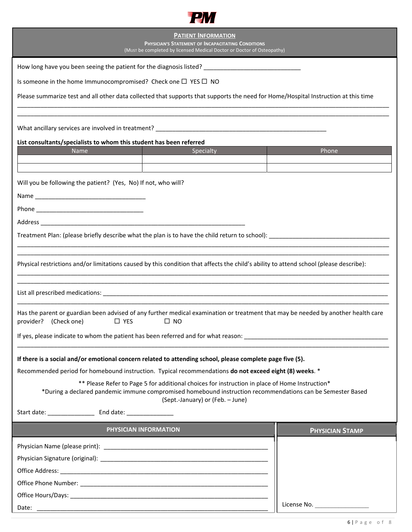|                                                                                                                                                                                                                     | <b>PATIENT INFORMATION</b>                                                                                                                     |                                |  |
|---------------------------------------------------------------------------------------------------------------------------------------------------------------------------------------------------------------------|------------------------------------------------------------------------------------------------------------------------------------------------|--------------------------------|--|
|                                                                                                                                                                                                                     | PHYSICIAN'S STATEMENT OF INCAPACITATING CONDITIONS<br>(Must be completed by licensed Medical Doctor or Doctor of Osteopathy)                   |                                |  |
| How long have you been seeing the patient for the diagnosis listed? ________________________________                                                                                                                |                                                                                                                                                |                                |  |
| Is someone in the home Immunocompromised? Check one $\Box$ YES $\Box$ NO                                                                                                                                            |                                                                                                                                                |                                |  |
| Please summarize test and all other data collected that supports that supports the need for Home/Hospital Instruction at this time                                                                                  |                                                                                                                                                |                                |  |
|                                                                                                                                                                                                                     |                                                                                                                                                |                                |  |
|                                                                                                                                                                                                                     |                                                                                                                                                |                                |  |
| List consultants/specialists to whom this student has been referred                                                                                                                                                 |                                                                                                                                                |                                |  |
| Name                                                                                                                                                                                                                | <b>Specialty</b>                                                                                                                               | Phone                          |  |
|                                                                                                                                                                                                                     |                                                                                                                                                |                                |  |
| Will you be following the patient? (Yes, No) If not, who will?                                                                                                                                                      |                                                                                                                                                |                                |  |
|                                                                                                                                                                                                                     |                                                                                                                                                |                                |  |
|                                                                                                                                                                                                                     |                                                                                                                                                |                                |  |
|                                                                                                                                                                                                                     |                                                                                                                                                |                                |  |
| Treatment Plan: (please briefly describe what the plan is to have the child return to school):                                                                                                                      |                                                                                                                                                |                                |  |
|                                                                                                                                                                                                                     |                                                                                                                                                |                                |  |
| Physical restrictions and/or limitations caused by this condition that affects the child's ability to attend school (please describe):                                                                              |                                                                                                                                                |                                |  |
|                                                                                                                                                                                                                     |                                                                                                                                                |                                |  |
|                                                                                                                                                                                                                     |                                                                                                                                                |                                |  |
| Has the parent or guardian been advised of any further medical examination or treatment that may be needed by another health care                                                                                   |                                                                                                                                                |                                |  |
| provider? (Check one)<br>$\square$ YES                                                                                                                                                                              | $\Box$ NO                                                                                                                                      |                                |  |
| If yes, please indicate to whom the patient has been referred and for what reason:                                                                                                                                  |                                                                                                                                                |                                |  |
|                                                                                                                                                                                                                     |                                                                                                                                                |                                |  |
| If there is a social and/or emotional concern related to attending school, please complete page five (5).<br>Recommended period for homebound instruction. Typical recommendations do not exceed eight (8) weeks. * |                                                                                                                                                |                                |  |
|                                                                                                                                                                                                                     | ** Please Refer to Page 5 for additional choices for instruction in place of Home Instruction*                                                 |                                |  |
|                                                                                                                                                                                                                     | *During a declared pandemic immune compromised homebound instruction recommendations can be Semester Based<br>(Sept.-January) or (Feb. - June) |                                |  |
|                                                                                                                                                                                                                     |                                                                                                                                                |                                |  |
| <b>PHYSICIAN INFORMATION</b>                                                                                                                                                                                        |                                                                                                                                                | <b>PHYSICIAN STAMP</b>         |  |
|                                                                                                                                                                                                                     |                                                                                                                                                |                                |  |
|                                                                                                                                                                                                                     |                                                                                                                                                |                                |  |
|                                                                                                                                                                                                                     |                                                                                                                                                |                                |  |
|                                                                                                                                                                                                                     |                                                                                                                                                |                                |  |
|                                                                                                                                                                                                                     |                                                                                                                                                |                                |  |
| Date:                                                                                                                                                                                                               |                                                                                                                                                | License No. __________________ |  |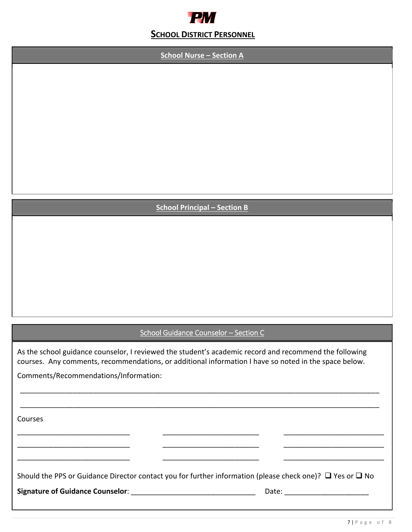

**School Nurse – Section A** 

**School Principal – Section B**

## School Guidance Counselor – Section C

\_\_\_\_\_\_\_\_\_\_\_\_\_\_\_\_\_\_\_\_\_\_\_\_\_\_\_\_\_\_\_\_\_\_\_\_\_\_\_\_\_\_\_\_\_\_\_\_\_\_\_\_\_\_\_\_\_\_\_\_\_\_\_\_\_\_\_\_\_\_\_\_\_\_\_\_\_\_\_\_\_\_\_\_\_\_\_\_\_

\_\_\_\_\_\_\_\_\_\_\_\_\_\_\_\_\_\_\_\_\_\_\_\_\_\_\_\_\_\_\_\_\_\_\_\_\_\_\_\_\_\_\_\_\_\_\_\_\_\_\_\_\_\_\_\_\_\_\_\_\_\_\_\_\_\_\_\_\_\_\_\_\_\_\_\_\_\_\_\_\_\_\_\_\_\_\_\_\_

\_\_\_\_\_\_\_\_\_\_\_\_\_\_\_\_\_\_\_\_\_\_\_\_\_\_\_\_ \_\_\_\_\_\_\_\_\_\_\_\_\_\_\_\_\_\_\_\_\_\_\_\_ \_\_\_\_\_\_\_\_\_\_\_\_\_\_\_\_\_\_\_\_\_\_\_\_\_ \_\_\_\_\_\_\_\_\_\_\_\_\_\_\_\_\_\_\_\_\_\_\_\_\_\_\_\_ \_\_\_\_\_\_\_\_\_\_\_\_\_\_\_\_\_\_\_\_\_\_\_\_ \_\_\_\_\_\_\_\_\_\_\_\_\_\_\_\_\_\_\_\_\_\_\_\_\_ \_\_\_\_\_\_\_\_\_\_\_\_\_\_\_\_\_\_\_\_\_\_\_\_\_\_\_\_ \_\_\_\_\_\_\_\_\_\_\_\_\_\_\_\_\_\_\_\_\_\_\_\_ \_\_\_\_\_\_\_\_\_\_\_\_\_\_\_\_\_\_\_\_\_\_\_\_\_

 courses. Any comments, recommendations, or additional information I have so noted in the space below. As the school guidance counselor, I reviewed the student's academic record and recommend the following

Comments/Recommendations/Information:

Courses

| Should the PPS or Guidance Director contact you for further information (please check one)? $\Box$ Yes or $\Box$ No |  |  |
|---------------------------------------------------------------------------------------------------------------------|--|--|
|---------------------------------------------------------------------------------------------------------------------|--|--|

**Signature of Guidance Counselor**: \_\_\_\_\_\_\_\_\_\_\_\_\_\_\_\_\_\_\_\_\_\_\_\_\_\_\_\_\_\_\_ Date: \_\_\_\_\_\_\_\_\_\_\_\_\_\_\_\_\_\_\_\_\_